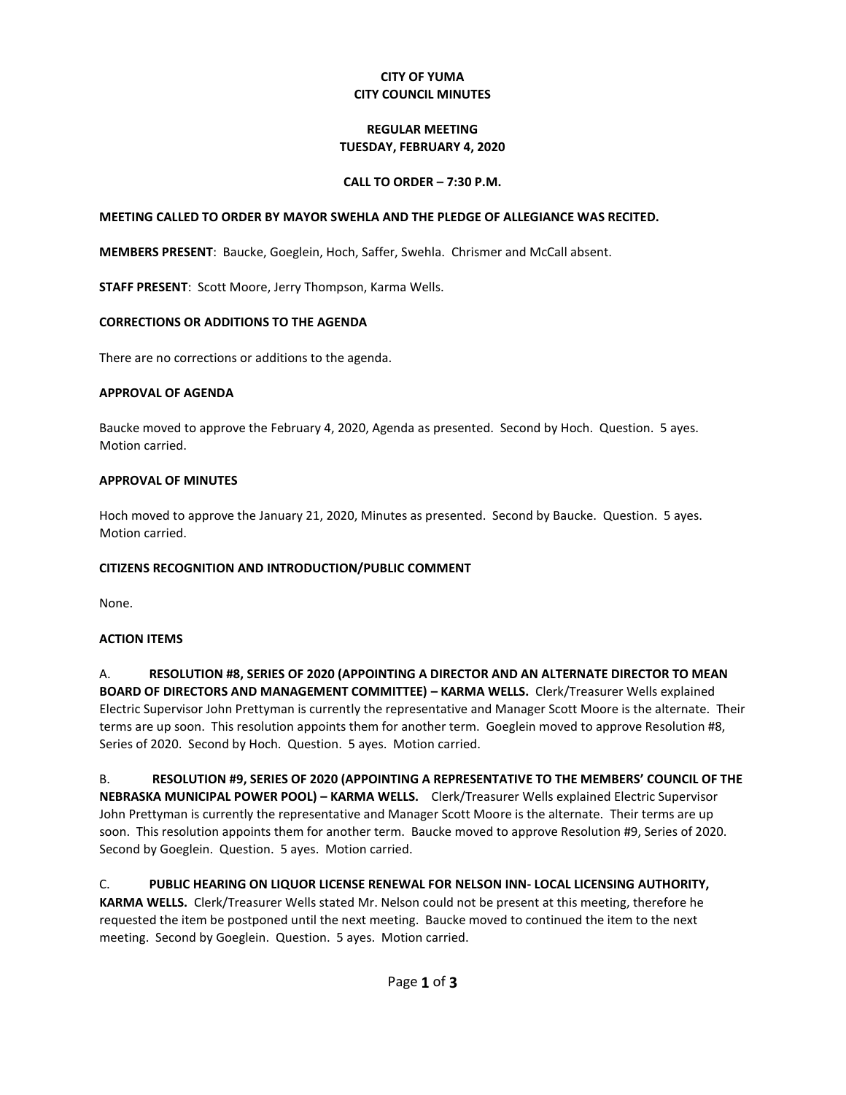### **CITY OF YUMA CITY COUNCIL MINUTES**

# **REGULAR MEETING TUESDAY, FEBRUARY 4, 2020**

### **CALL TO ORDER – 7:30 P.M.**

#### **MEETING CALLED TO ORDER BY MAYOR SWEHLA AND THE PLEDGE OF ALLEGIANCE WAS RECITED.**

**MEMBERS PRESENT**: Baucke, Goeglein, Hoch, Saffer, Swehla. Chrismer and McCall absent.

**STAFF PRESENT**: Scott Moore, Jerry Thompson, Karma Wells.

#### **CORRECTIONS OR ADDITIONS TO THE AGENDA**

There are no corrections or additions to the agenda.

#### **APPROVAL OF AGENDA**

Baucke moved to approve the February 4, 2020, Agenda as presented. Second by Hoch. Question. 5 ayes. Motion carried.

### **APPROVAL OF MINUTES**

Hoch moved to approve the January 21, 2020, Minutes as presented. Second by Baucke. Question. 5 ayes. Motion carried.

# **CITIZENS RECOGNITION AND INTRODUCTION/PUBLIC COMMENT**

None.

# **ACTION ITEMS**

A. **RESOLUTION #8, SERIES OF 2020 (APPOINTING A DIRECTOR AND AN ALTERNATE DIRECTOR TO MEAN BOARD OF DIRECTORS AND MANAGEMENT COMMITTEE) – KARMA WELLS.** Clerk/Treasurer Wells explained Electric Supervisor John Prettyman is currently the representative and Manager Scott Moore is the alternate. Their terms are up soon. This resolution appoints them for another term. Goeglein moved to approve Resolution #8, Series of 2020. Second by Hoch. Question. 5 ayes. Motion carried.

B. **RESOLUTION #9, SERIES OF 2020 (APPOINTING A REPRESENTATIVE TO THE MEMBERS' COUNCIL OF THE NEBRASKA MUNICIPAL POWER POOL) – KARMA WELLS.** Clerk/Treasurer Wells explained Electric Supervisor John Prettyman is currently the representative and Manager Scott Moore is the alternate. Their terms are up soon. This resolution appoints them for another term. Baucke moved to approve Resolution #9, Series of 2020. Second by Goeglein. Question. 5 ayes. Motion carried.

C. **PUBLIC HEARING ON LIQUOR LICENSE RENEWAL FOR NELSON INN- LOCAL LICENSING AUTHORITY, KARMA WELLS.** Clerk/Treasurer Wells stated Mr. Nelson could not be present at this meeting, therefore he requested the item be postponed until the next meeting. Baucke moved to continued the item to the next meeting. Second by Goeglein. Question. 5 ayes. Motion carried.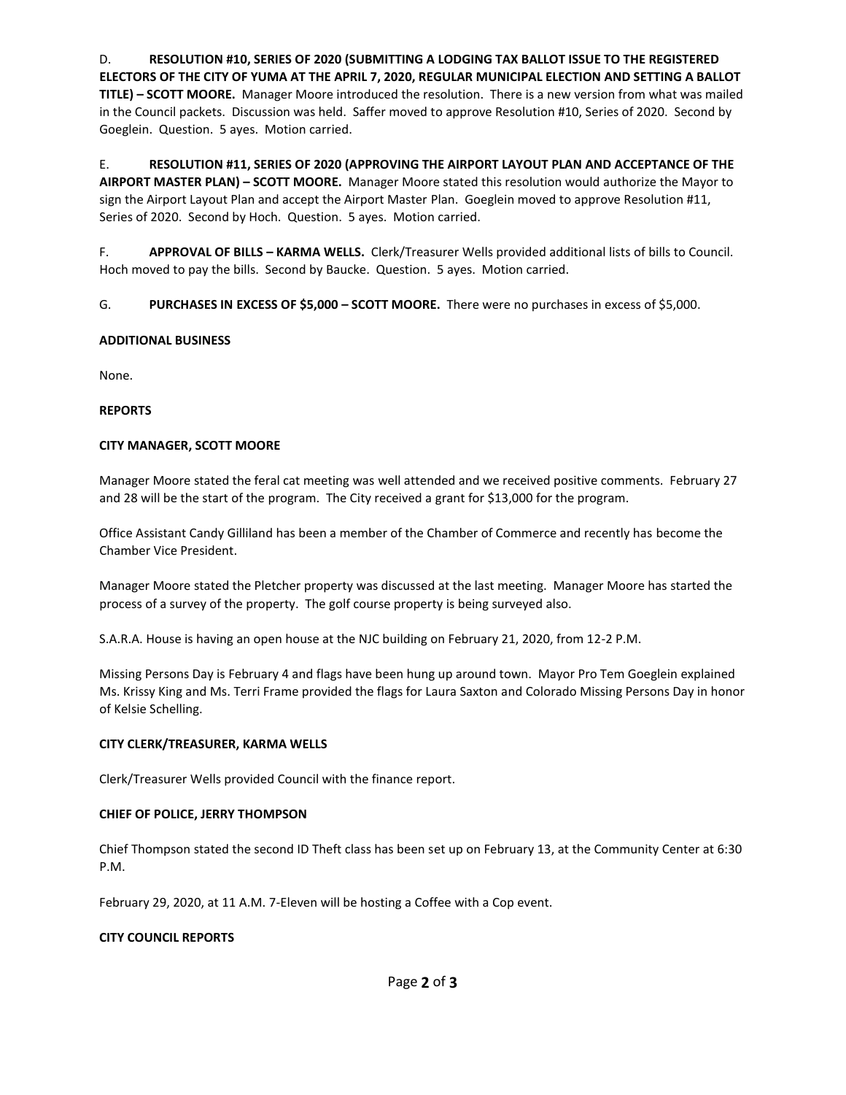D. **RESOLUTION #10, SERIES OF 2020 (SUBMITTING A LODGING TAX BALLOT ISSUE TO THE REGISTERED ELECTORS OF THE CITY OF YUMA AT THE APRIL 7, 2020, REGULAR MUNICIPAL ELECTION AND SETTING A BALLOT TITLE) – SCOTT MOORE.** Manager Moore introduced the resolution. There is a new version from what was mailed in the Council packets. Discussion was held. Saffer moved to approve Resolution #10, Series of 2020. Second by Goeglein. Question. 5 ayes. Motion carried.

E. **RESOLUTION #11, SERIES OF 2020 (APPROVING THE AIRPORT LAYOUT PLAN AND ACCEPTANCE OF THE AIRPORT MASTER PLAN) – SCOTT MOORE.** Manager Moore stated this resolution would authorize the Mayor to sign the Airport Layout Plan and accept the Airport Master Plan. Goeglein moved to approve Resolution #11, Series of 2020. Second by Hoch. Question. 5 ayes. Motion carried.

F. **APPROVAL OF BILLS – KARMA WELLS.** Clerk/Treasurer Wells provided additional lists of bills to Council. Hoch moved to pay the bills. Second by Baucke. Question. 5 ayes. Motion carried.

G. **PURCHASES IN EXCESS OF \$5,000 – SCOTT MOORE.** There were no purchases in excess of \$5,000.

# **ADDITIONAL BUSINESS**

None.

### **REPORTS**

### **CITY MANAGER, SCOTT MOORE**

Manager Moore stated the feral cat meeting was well attended and we received positive comments. February 27 and 28 will be the start of the program. The City received a grant for \$13,000 for the program.

Office Assistant Candy Gilliland has been a member of the Chamber of Commerce and recently has become the Chamber Vice President.

Manager Moore stated the Pletcher property was discussed at the last meeting. Manager Moore has started the process of a survey of the property. The golf course property is being surveyed also.

S.A.R.A. House is having an open house at the NJC building on February 21, 2020, from 12-2 P.M.

Missing Persons Day is February 4 and flags have been hung up around town. Mayor Pro Tem Goeglein explained Ms. Krissy King and Ms. Terri Frame provided the flags for Laura Saxton and Colorado Missing Persons Day in honor of Kelsie Schelling.

#### **CITY CLERK/TREASURER, KARMA WELLS**

Clerk/Treasurer Wells provided Council with the finance report.

# **CHIEF OF POLICE, JERRY THOMPSON**

Chief Thompson stated the second ID Theft class has been set up on February 13, at the Community Center at 6:30 P.M.

February 29, 2020, at 11 A.M. 7-Eleven will be hosting a Coffee with a Cop event.

#### **CITY COUNCIL REPORTS**